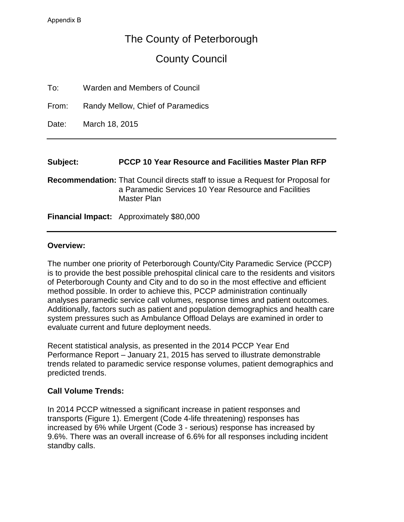# The County of Peterborough

# County Council

| To:<br>Warden and Members of Council |  |  |
|--------------------------------------|--|--|
|--------------------------------------|--|--|

From: Randy Mellow, Chief of Paramedics

Date: March 18, 2015

#### **Subject: PCCP 10 Year Resource and Facilities Master Plan RFP**

**Recommendation:** That Council directs staff to issue a Request for Proposal for a Paramedic Services 10 Year Resource and Facilities Master Plan

**Financial Impact:** Approximately \$80,000

#### **Overview:**

The number one priority of Peterborough County/City Paramedic Service (PCCP) is to provide the best possible prehospital clinical care to the residents and visitors of Peterborough County and City and to do so in the most effective and efficient method possible. In order to achieve this, PCCP administration continually analyses paramedic service call volumes, response times and patient outcomes. Additionally, factors such as patient and population demographics and health care system pressures such as Ambulance Offload Delays are examined in order to evaluate current and future deployment needs.

Recent statistical analysis, as presented in the 2014 PCCP Year End Performance Report – January 21, 2015 has served to illustrate demonstrable trends related to paramedic service response volumes, patient demographics and predicted trends.

### **Call Volume Trends:**

In 2014 PCCP witnessed a significant increase in patient responses and transports (Figure 1). Emergent (Code 4-life threatening) responses has increased by 6% while Urgent (Code 3 - serious) response has increased by 9.6%. There was an overall increase of 6.6% for all responses including incident standby calls.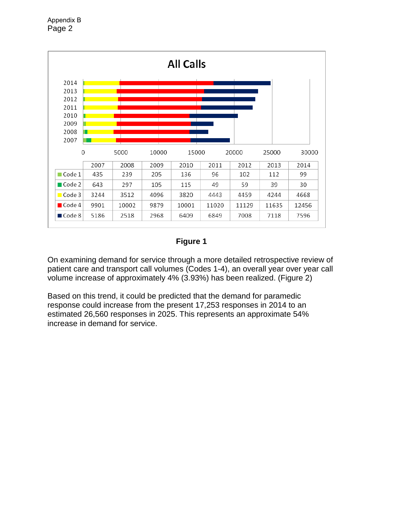

## **Figure 1**

On examining demand for service through a more detailed retrospective review of patient care and transport call volumes (Codes 1-4), an overall year over year call volume increase of approximately 4% (3.93%) has been realized. (Figure 2)

Based on this trend, it could be predicted that the demand for paramedic response could increase from the present 17,253 responses in 2014 to an estimated 26,560 responses in 2025. This represents an approximate 54% increase in demand for service.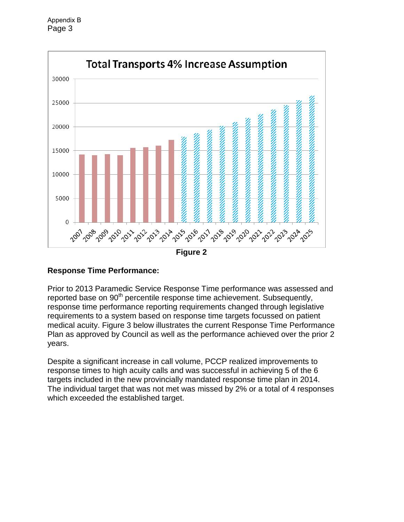

### **Response Time Performance:**

Prior to 2013 Paramedic Service Response Time performance was assessed and reported base on 90<sup>th</sup> percentile response time achievement. Subsequently, response time performance reporting requirements changed through legislative requirements to a system based on response time targets focussed on patient medical acuity. Figure 3 below illustrates the current Response Time Performance Plan as approved by Council as well as the performance achieved over the prior 2 years.

Despite a significant increase in call volume, PCCP realized improvements to response times to high acuity calls and was successful in achieving 5 of the 6 targets included in the new provincially mandated response time plan in 2014. The individual target that was not met was missed by 2% or a total of 4 responses which exceeded the established target.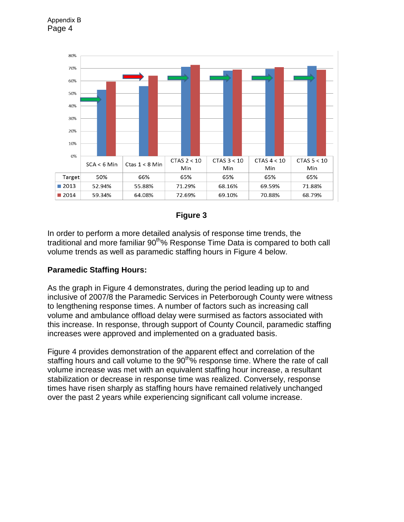

**Figure 3**

In order to perform a more detailed analysis of response time trends, the traditional and more familiar 90<sup>th</sup>% Response Time Data is compared to both call volume trends as well as paramedic staffing hours in Figure 4 below.

### **Paramedic Staffing Hours:**

Page 4

Appendix B

As the graph in Figure 4 demonstrates, during the period leading up to and inclusive of 2007/8 the Paramedic Services in Peterborough County were witness to lengthening response times. A number of factors such as increasing call volume and ambulance offload delay were surmised as factors associated with this increase. In response, through support of County Council, paramedic staffing increases were approved and implemented on a graduated basis.

Figure 4 provides demonstration of the apparent effect and correlation of the staffing hours and call volume to the 90<sup>th</sup>% response time. Where the rate of call volume increase was met with an equivalent staffing hour increase, a resultant stabilization or decrease in response time was realized. Conversely, response times have risen sharply as staffing hours have remained relatively unchanged over the past 2 years while experiencing significant call volume increase.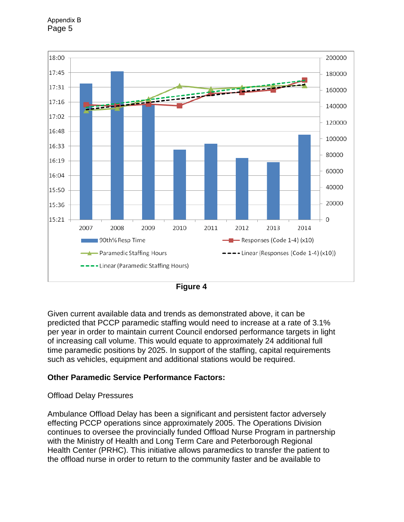



**Figure 4**

Given current available data and trends as demonstrated above, it can be predicted that PCCP paramedic staffing would need to increase at a rate of 3.1% per year in order to maintain current Council endorsed performance targets in light of increasing call volume. This would equate to approximately 24 additional full time paramedic positions by 2025. In support of the staffing, capital requirements such as vehicles, equipment and additional stations would be required.

### **Other Paramedic Service Performance Factors:**

### Offload Delay Pressures

Ambulance Offload Delay has been a significant and persistent factor adversely effecting PCCP operations since approximately 2005. The Operations Division continues to oversee the provincially funded Offload Nurse Program in partnership with the Ministry of Health and Long Term Care and Peterborough Regional Health Center (PRHC). This initiative allows paramedics to transfer the patient to the offload nurse in order to return to the community faster and be available to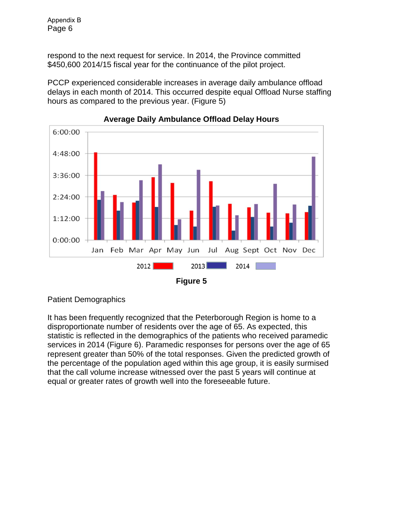respond to the next request for service. In 2014, the Province committed \$450,600 2014/15 fiscal year for the continuance of the pilot project.

PCCP experienced considerable increases in average daily ambulance offload delays in each month of 2014. This occurred despite equal Offload Nurse staffing hours as compared to the previous year. (Figure 5)



**Average Daily Ambulance Offload Delay Hours**

Patient Demographics

It has been frequently recognized that the Peterborough Region is home to a disproportionate number of residents over the age of 65. As expected, this statistic is reflected in the demographics of the patients who received paramedic services in 2014 (Figure 6). Paramedic responses for persons over the age of 65 represent greater than 50% of the total responses. Given the predicted growth of the percentage of the population aged within this age group, it is easily surmised that the call volume increase witnessed over the past 5 years will continue at equal or greater rates of growth well into the foreseeable future.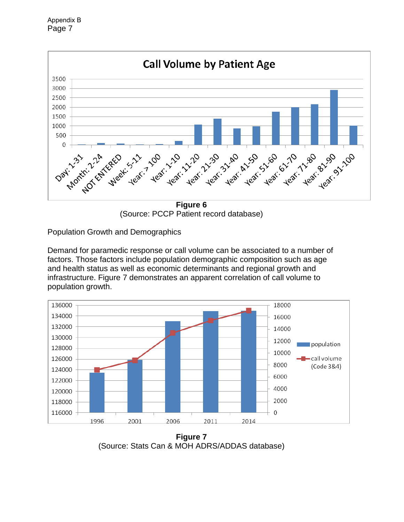Page 7 Appendix B



(Source: PCCP Patient record database)

Population Growth and Demographics

Demand for paramedic response or call volume can be associated to a number of factors. Those factors include population demographic composition such as age and health status as well as economic determinants and regional growth and infrastructure. Figure 7 demonstrates an apparent correlation of call volume to population growth.



**Figure 7** (Source: Stats Can & MOH ADRS/ADDAS database)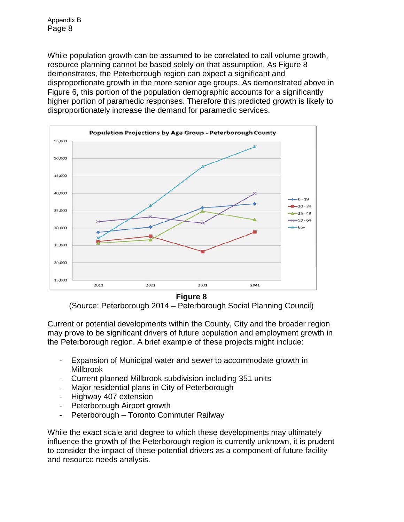While population growth can be assumed to be correlated to call volume growth, resource planning cannot be based solely on that assumption. As Figure 8 demonstrates, the Peterborough region can expect a significant and disproportionate growth in the more senior age groups. As demonstrated above in Figure 6, this portion of the population demographic accounts for a significantly higher portion of paramedic responses. Therefore this predicted growth is likely to disproportionately increase the demand for paramedic services.



**Figure 8** 

(Source: Peterborough 2014 – Peterborough Social Planning Council)

Current or potential developments within the County, City and the broader region may prove to be significant drivers of future population and employment growth in the Peterborough region. A brief example of these projects might include:

- Expansion of Municipal water and sewer to accommodate growth in Millbrook
- Current planned Millbrook subdivision including 351 units
- Major residential plans in City of Peterborough
- Highway 407 extension
- Peterborough Airport growth
- Peterborough Toronto Commuter Railway

While the exact scale and degree to which these developments may ultimately influence the growth of the Peterborough region is currently unknown, it is prudent to consider the impact of these potential drivers as a component of future facility and resource needs analysis.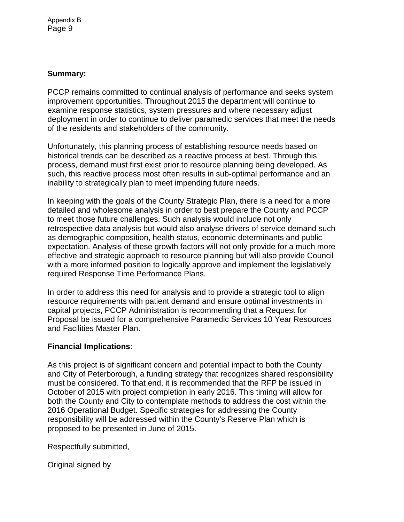## **Summary:**

PCCP remains committed to continual analysis of performance and seeks system improvement opportunities. Throughout 2015 the department will continue to examine response statistics, system pressures and where necessary adjust deployment in order to continue to deliver paramedic services that meet the needs of the residents and stakeholders of the community.

Unfortunately, this planning process of establishing resource needs based on historical trends can be described as a reactive process at best. Through this process, demand must first exist prior to resource planning being developed. As such, this reactive process most often results in sub-optimal performance and an inability to strategically plan to meet impending future needs.

In keeping with the goals of the County Strategic Plan, there is a need for a more detailed and wholesome analysis in order to best prepare the County and PCCP to meet those future challenges. Such analysis would include not only retrospective data analysis but would also analyse drivers of service demand such as demographic composition, health status, economic determinants and public expectation. Analysis of these growth factors will not only provide for a much more effective and strategic approach to resource planning but will also provide Council with a more informed position to logically approve and implement the legislatively required Response Time Performance Plans.

In order to address this need for analysis and to provide a strategic tool to align resource requirements with patient demand and ensure optimal investments in capital projects, PCCP Administration is recommending that a Request for Proposal be issued for a comprehensive Paramedic Services 10 Year Resources and Facilities Master Plan.

### **Financial Implications**:

As this project is of significant concern and potential impact to both the County and City of Peterborough, a funding strategy that recognizes shared responsibility must be considered. To that end, it is recommended that the RFP be issued in October of 2015 with project completion in early 2016. This timing will allow for both the County and City to contemplate methods to address the cost within the 2016 Operational Budget. Specific strategies for addressing the County responsibility will be addressed within the County's Reserve Plan which is proposed to be presented in June of 2015.

Respectfully submitted,

Original signed by